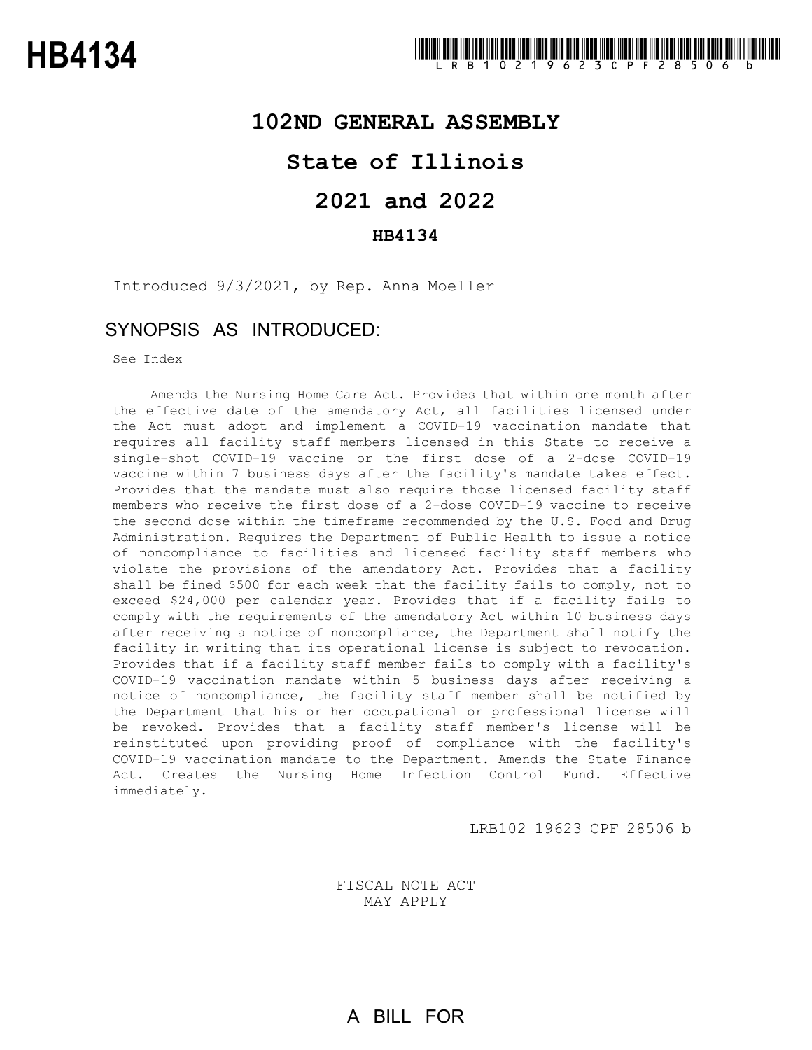## **102ND GENERAL ASSEMBLY**

## **State of Illinois**

# **2021 and 2022**

### **HB4134**

Introduced 9/3/2021, by Rep. Anna Moeller

## SYNOPSIS AS INTRODUCED:

See Index

Amends the Nursing Home Care Act. Provides that within one month after the effective date of the amendatory Act, all facilities licensed under the Act must adopt and implement a COVID-19 vaccination mandate that requires all facility staff members licensed in this State to receive a single-shot COVID-19 vaccine or the first dose of a 2-dose COVID-19 vaccine within 7 business days after the facility's mandate takes effect. Provides that the mandate must also require those licensed facility staff members who receive the first dose of a 2-dose COVID-19 vaccine to receive the second dose within the timeframe recommended by the U.S. Food and Drug Administration. Requires the Department of Public Health to issue a notice of noncompliance to facilities and licensed facility staff members who violate the provisions of the amendatory Act. Provides that a facility shall be fined \$500 for each week that the facility fails to comply, not to exceed \$24,000 per calendar year. Provides that if a facility fails to comply with the requirements of the amendatory Act within 10 business days after receiving a notice of noncompliance, the Department shall notify the facility in writing that its operational license is subject to revocation. Provides that if a facility staff member fails to comply with a facility's COVID-19 vaccination mandate within 5 business days after receiving a notice of noncompliance, the facility staff member shall be notified by the Department that his or her occupational or professional license will be revoked. Provides that a facility staff member's license will be reinstituted upon providing proof of compliance with the facility's COVID-19 vaccination mandate to the Department. Amends the State Finance Act. Creates the Nursing Home Infection Control Fund. Effective immediately.

LRB102 19623 CPF 28506 b

FISCAL NOTE ACT MAY APPLY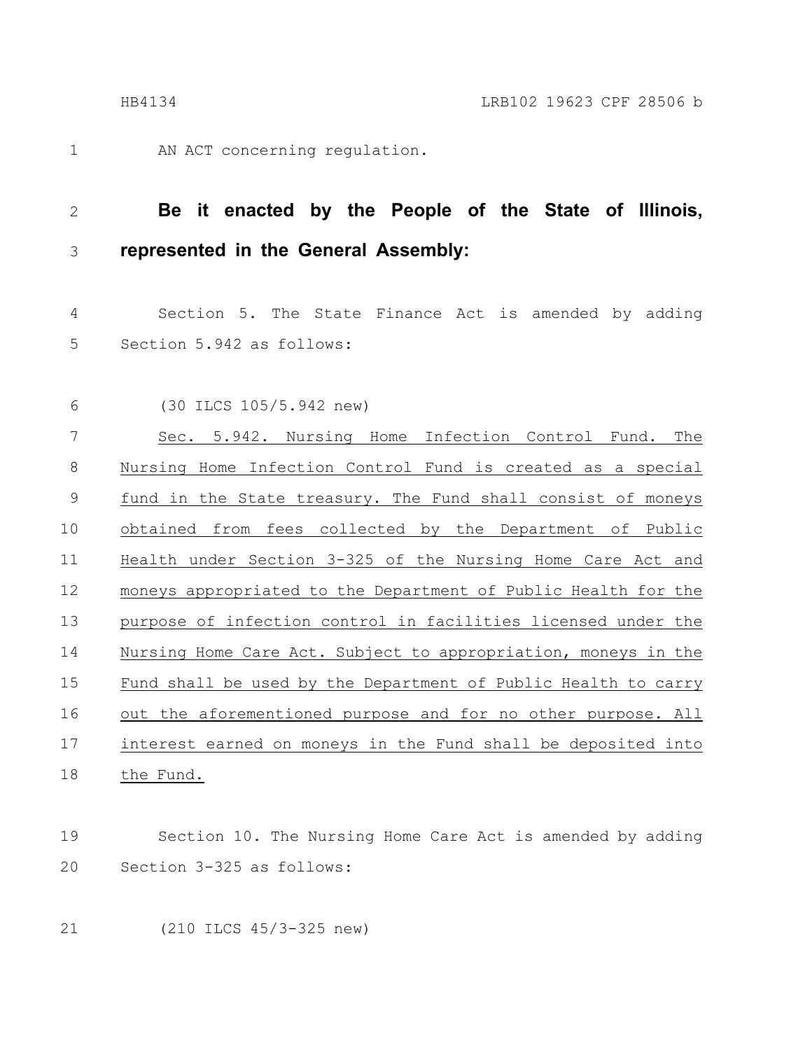1

AN ACT concerning regulation.

#### **Be it enacted by the People of the State of Illinois, represented in the General Assembly:** 2 3

Section 5. The State Finance Act is amended by adding Section 5.942 as follows: 4 5

(30 ILCS 105/5.942 new) 6

Sec. 5.942. Nursing Home Infection Control Fund. The Nursing Home Infection Control Fund is created as a special fund in the State treasury. The Fund shall consist of moneys obtained from fees collected by the Department of Public Health under Section 3-325 of the Nursing Home Care Act and moneys appropriated to the Department of Public Health for the purpose of infection control in facilities licensed under the Nursing Home Care Act. Subject to appropriation, moneys in the Fund shall be used by the Department of Public Health to carry out the aforementioned purpose and for no other purpose. All interest earned on moneys in the Fund shall be deposited into the Fund. 7 8 9 10 11 12 13 14 15 16 17 18

#### Section 10. The Nursing Home Care Act is amended by adding Section 3-325 as follows: 19 20

21

(210 ILCS 45/3-325 new)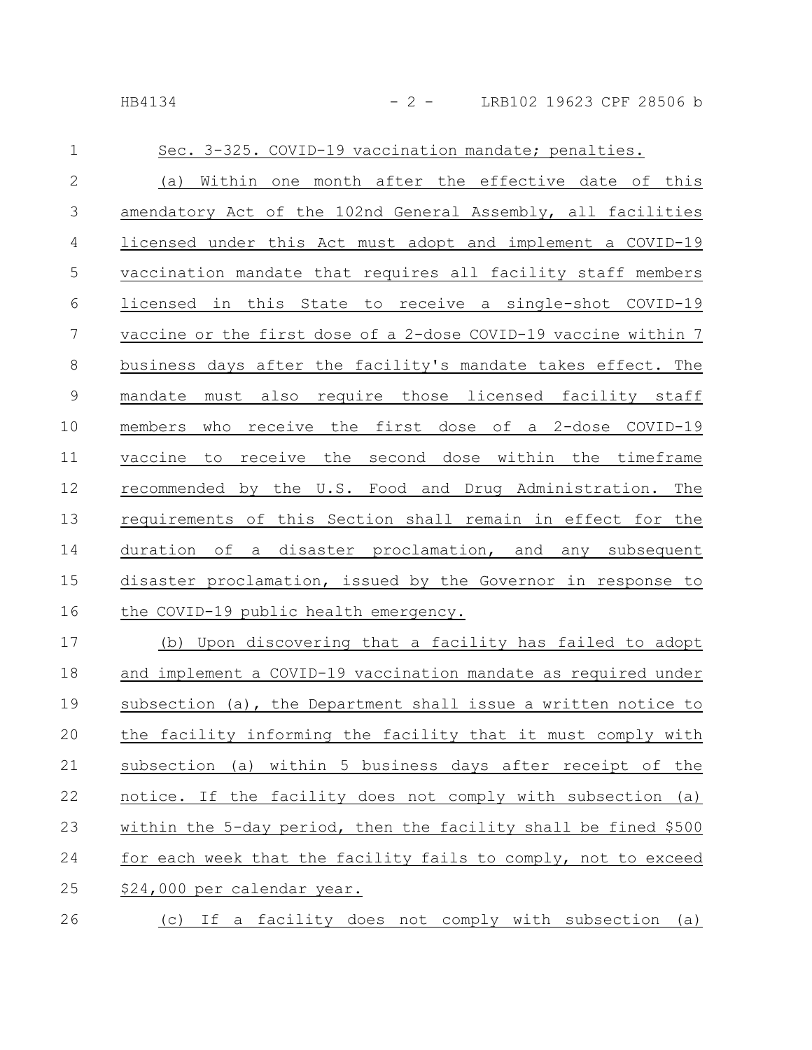| $\mathbf{1}$    | Sec. 3-325. COVID-19 vaccination mandate; penalties.            |
|-----------------|-----------------------------------------------------------------|
| $\overline{2}$  | (a) Within one month after the effective date of this           |
| 3               | amendatory Act of the 102nd General Assembly, all facilities    |
| $\overline{4}$  | licensed under this Act must adopt and implement a COVID-19     |
| 5               | vaccination mandate that requires all facility staff members    |
| 6               | licensed in this State to receive a single-shot COVID-19        |
| $7\phantom{.0}$ | vaccine or the first dose of a 2-dose COVID-19 vaccine within 7 |
| 8               | business days after the facility's mandate takes effect. The    |
| $\overline{9}$  | mandate must also require those licensed facility staff         |
| 10              | who receive the first dose of a 2-dose COVID-19<br>members      |
| 11              | vaccine to receive the second dose within the timeframe         |
| 12              | recommended by the U.S. Food and Drug Administration. The       |
| 13              | requirements of this Section shall remain in effect for the     |
| 14              | duration of a disaster proclamation, and any subsequent         |
| 15              | disaster proclamation, issued by the Governor in response to    |
| 16              | the COVID-19 public health emergency.                           |
| 17              | (b) Upon discovering that a facility has failed to adopt        |
| 18              | and implement a COVID-19 vaccination mandate as required under  |
|                 |                                                                 |

subsection (a), the Department shall issue a written notice to the facility informing the facility that it must comply with subsection (a) within 5 business days after receipt of the notice. If the facility does not comply with subsection (a) within the 5-day period, then the facility shall be fined \$500 for each week that the facility fails to comply, not to exceed \$24,000 per calendar year. 19 20 21 22 23 24 25

(c) If a facility does not comply with subsection (a) 26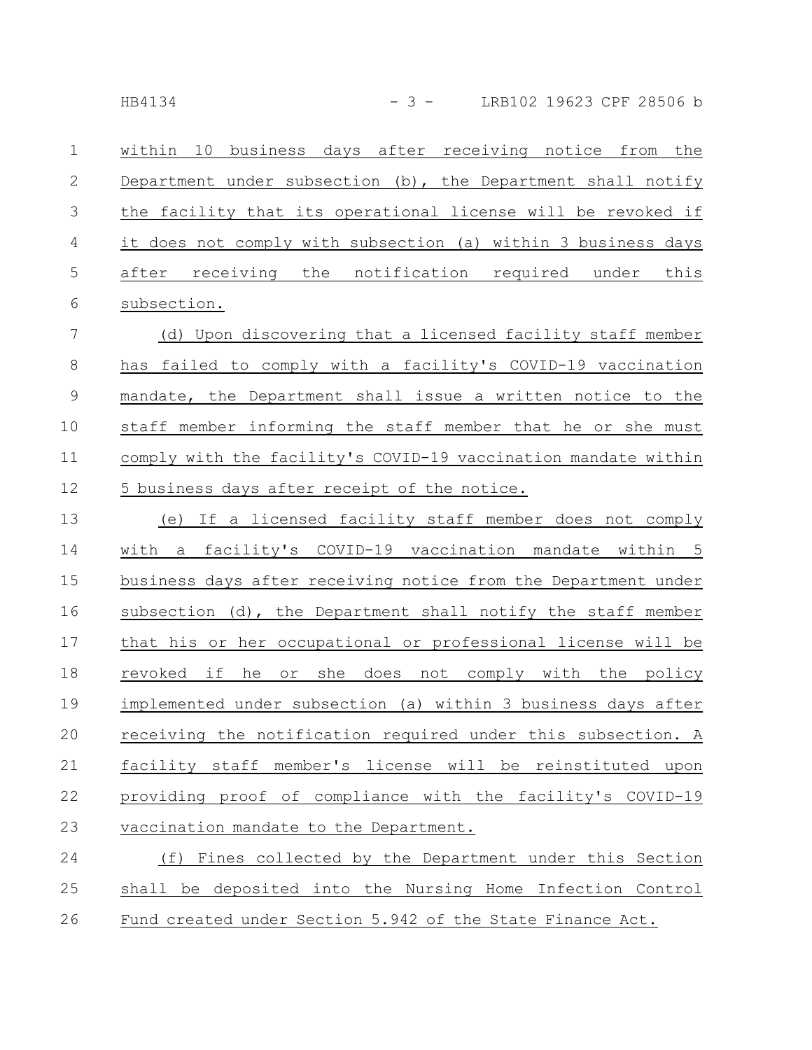within 10 business days after receiving notice from the Department under subsection (b), the Department shall notify the facility that its operational license will be revoked if it does not comply with subsection (a) within 3 business days after receiving the notification required under this subsection. 1 2 3 4 5 6

(d) Upon discovering that a licensed facility staff member has failed to comply with a facility's COVID-19 vaccination mandate, the Department shall issue a written notice to the staff member informing the staff member that he or she must comply with the facility's COVID-19 vaccination mandate within 5 business days after receipt of the notice. 7 8 9 10 11 12

(e) If a licensed facility staff member does not comply with a facility's COVID-19 vaccination mandate within 5 business days after receiving notice from the Department under subsection (d), the Department shall notify the staff member that his or her occupational or professional license will be revoked if he or she does not comply with the policy implemented under subsection (a) within 3 business days after receiving the notification required under this subsection. A facility staff member's license will be reinstituted upon providing proof of compliance with the facility's COVID-19 vaccination mandate to the Department. 13 14 15 16 17 18 19 20 21 22 23

(f) Fines collected by the Department under this Section shall be deposited into the Nursing Home Infection Control Fund created under Section 5.942 of the State Finance Act. 24 25 26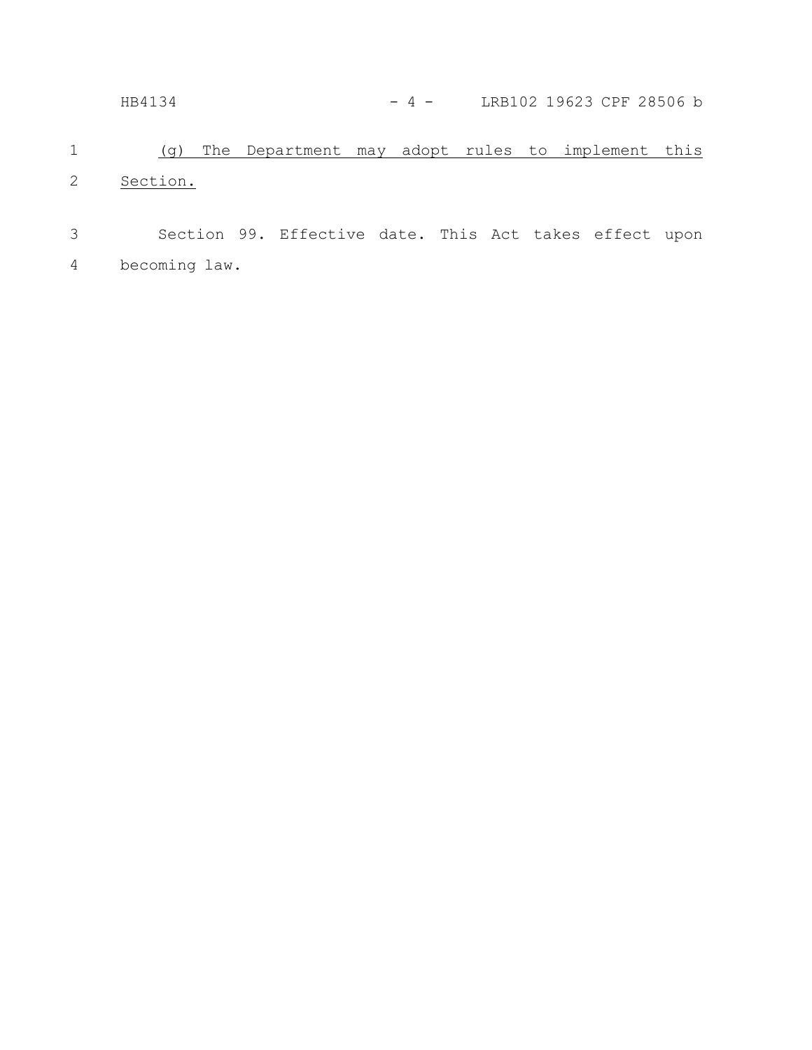HB4134 - 4 - LRB102 19623 CPF 28506 b

(g) The Department may adopt rules to implement this Section. 1 2

Section 99. Effective date. This Act takes effect upon becoming law. 3 4